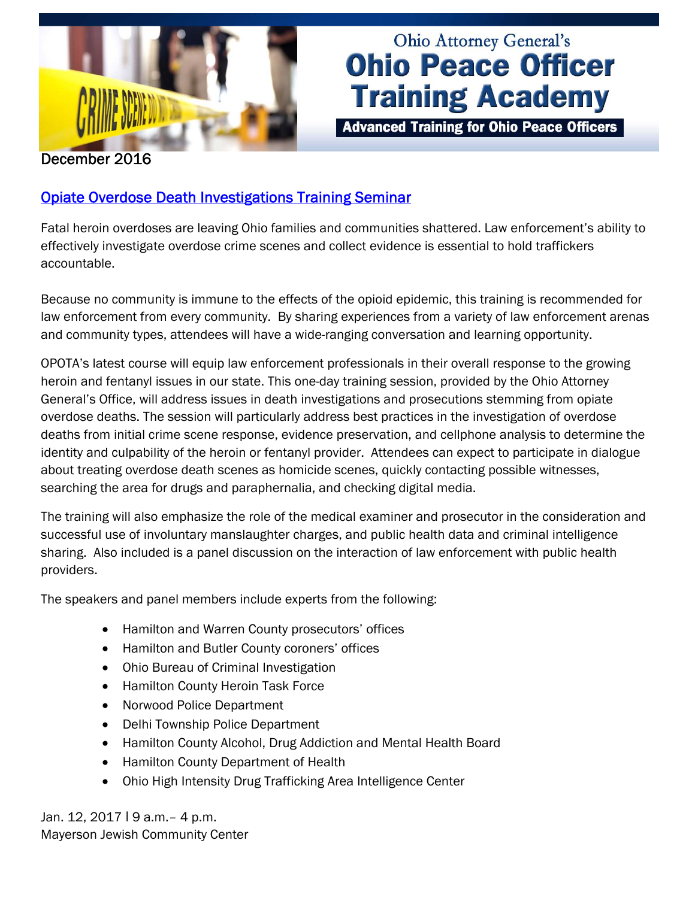

# Ohio Attorney General's **Ohio Peace Officer Training Academy**

**Advanced Training for Ohio Peace Officers** 

### December 2016

## [Opiate Overdose Death Investigations Training Seminar](http://www.ohioattorneygeneral.gov/Media/Newsletters/Ohio-Peace-Officer-Training-Academy-email-newslett/December-2016-(1)/Opiate-Overdose-Death-Investigations-Training-Semi)

Fatal heroin overdoses are leaving Ohio families and communities shattered. Law enforcement's ability to effectively investigate overdose crime scenes and collect evidence is essential to hold traffickers accountable.

Because no community is immune to the effects of the opioid epidemic, this training is recommended for law enforcement from every community. By sharing experiences from a variety of law enforcement arenas and community types, attendees will have a wide-ranging conversation and learning opportunity.

OPOTA's latest course will equip law enforcement professionals in their overall response to the growing heroin and fentanyl issues in our state. This one-day training session, provided by the Ohio Attorney General's Office, will address issues in death investigations and prosecutions stemming from opiate overdose deaths. The session will particularly address best practices in the investigation of overdose deaths from initial crime scene response, evidence preservation, and cellphone analysis to determine the identity and culpability of the heroin or fentanyl provider. Attendees can expect to participate in dialogue about treating overdose death scenes as homicide scenes, quickly contacting possible witnesses, searching the area for drugs and paraphernalia, and checking digital media.

The training will also emphasize the role of the medical examiner and prosecutor in the consideration and successful use of involuntary manslaughter charges, and public health data and criminal intelligence sharing. Also included is a panel discussion on the interaction of law enforcement with public health providers.

The speakers and panel members include experts from the following:

- Hamilton and Warren County prosecutors' offices
- Hamilton and Butler County coroners' offices
- Ohio Bureau of Criminal Investigation
- Hamilton County Heroin Task Force
- Norwood Police Department
- Delhi Township Police Department
- Hamilton County Alcohol, Drug Addiction and Mental Health Board
- Hamilton County Department of Health
- Ohio High Intensity Drug Trafficking Area Intelligence Center

Jan. 12, 2017 | 9 a.m. - 4 p.m. Mayerson Jewish Community Center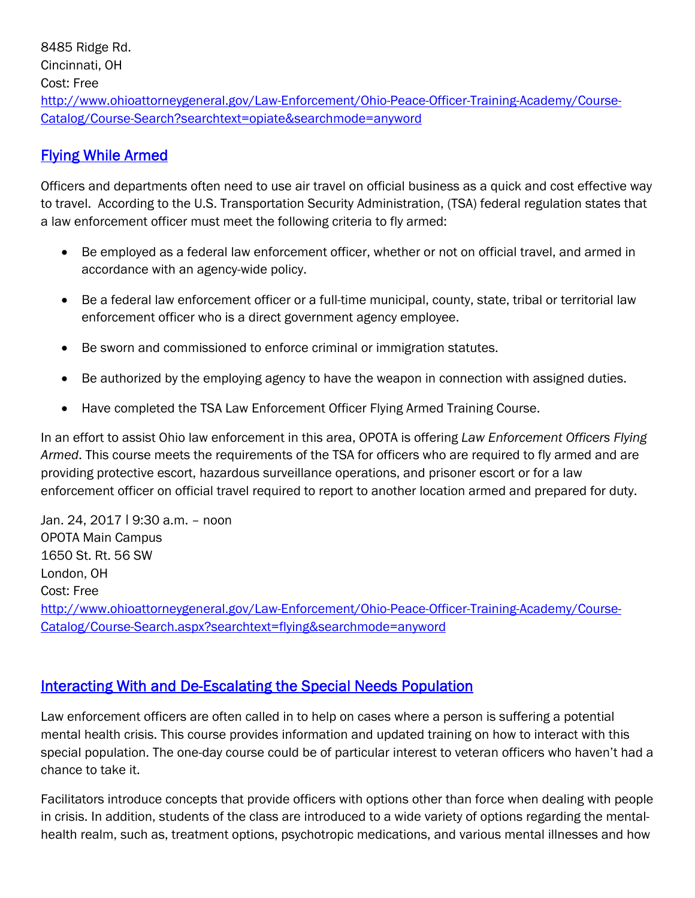8485 Ridge Rd. Cincinnati, OH Cost: Free [http://www.ohioattorneygeneral.gov/Law-Enforcement/Ohio-Peace-Officer-Training-Academy/Course-](http://www.ohioattorneygeneral.gov/Law-Enforcement/Ohio-Peace-Officer-Training-Academy/Course-Catalog/Course-Search?searchtext=opiate&searchmode=anyword)Catalog/Course-Search?searchtext=opiate&searchmode=anyword

#### [Flying While Armed](http://www.ohioattorneygeneral.gov/Media/Newsletters/Ohio-Peace-Officer-Training-Academy-email-newslett/December-2016-(1)/Flying-While-Armed)

Officers and departments often need to use air travel on official business as a quick and cost effective way to travel. According to the U.S. Transportation Security Administration, (TSA) federal regulation states that a law enforcement officer must meet the following criteria to fly armed:

- Be employed as a federal law enforcement officer, whether or not on official travel, and armed in accordance with an agency-wide policy.
- Be a federal law enforcement officer or a full-time municipal, county, state, tribal or territorial law enforcement officer who is a direct government agency employee.
- Be sworn and commissioned to enforce criminal or immigration statutes.
- Be authorized by the employing agency to have the weapon in connection with assigned duties.
- Have completed the TSA Law Enforcement Officer Flying Armed Training Course.

In an effort to assist Ohio law enforcement in this area, OPOTA is offering *Law Enforcement Officers Flying Armed*. This course meets the requirements of the TSA for officers who are required to fly armed and are providing protective escort, hazardous surveillance operations, and prisoner escort or for a law enforcement officer on official travel required to report to another location armed and prepared for duty.

Jan. 24, 2017 ǀ 9:30 a.m. – noon OPOTA Main Campus 1650 St. Rt. 56 SW London, OH Cost: Free [http://www.ohioattorneygeneral.gov/Law-Enforcement/Ohio-Peace-Officer-Training-Academy/Course-](http://www.ohioattorneygeneral.gov/Law-Enforcement/Ohio-Peace-Officer-Training-Academy/Course-Catalog/Course-Search.aspx?searchtext=flying&searchmode=anyword)Catalog/Course-Search.aspx?searchtext=flying&searchmode=anyword

#### Interacting With and De-Escalating the Special Needs Population

Law enforcement officers are often called in to help on cases where a person is suffering a potential mental health crisis. This course provides information and updated training on how to interact with this special population. The one-day course could be of particular interest to veteran officers who haven't had a chance to take it.

Facilitators introduce concepts that provide officers with options other than force when dealing with people in crisis. In addition, students of the class are introduced to a wide variety of options regarding the mentalhealth realm, such as, treatment options, psychotropic medications, and various mental illnesses and how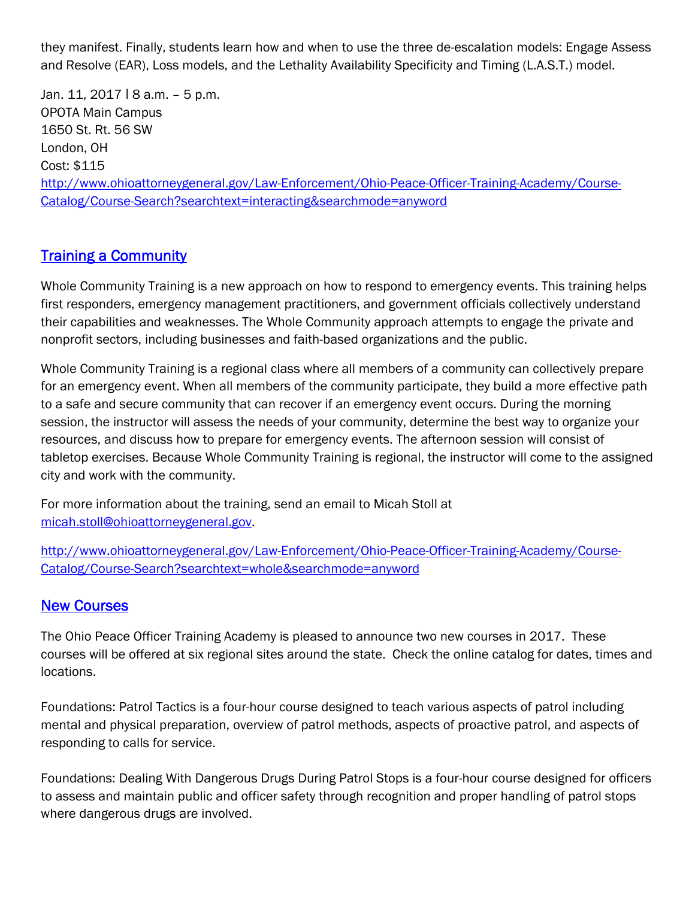they manifest. Finally, students learn how and when to use the three de-escalation models: Engage Assess and Resolve (EAR), Loss models, and the Lethality Availability Specificity and Timing (L.A.S.T.) model.

Jan. 11, 2017 | 8 a.m. - 5 p.m. OPOTA Main Campus 1650 St. Rt. 56 SW London, OH Cost: \$115 [http://www.ohioattorneygeneral.gov/Law-Enforcement/Ohio-Peace-Officer-Training-Academy/Course-](http://www.ohioattorneygeneral.gov/Law-Enforcement/Ohio-Peace-Officer-Training-Academy/Course-Catalog/Course-Search?searchtext=interacting&searchmode=anyword)Catalog/Course-Search?searchtext=interacting&searchmode=anyword

#### **[Training a Community](http://www.ohioattorneygeneral.gov/Media/Newsletters/Ohio-Peace-Officer-Training-Academy-email-newslett/December-2016-(1)/Training-a-Community)**

Whole Community Training is a new approach on how to respond to emergency events. This training helps first responders, emergency management practitioners, and government officials collectively understand their capabilities and weaknesses. The Whole Community approach attempts to engage the private and nonprofit sectors, including businesses and faith-based organizations and the public.

Whole Community Training is a regional class where all members of a community can collectively prepare for an emergency event. When all members of the community participate, they build a more effective path to a safe and secure community that can recover if an emergency event occurs. During the morning session, the instructor will assess the needs of your community, determine the best way to organize your resources, and discuss how to prepare for emergency events. The afternoon session will consist of tabletop exercises. Because Whole Community Training is regional, the instructor will come to the assigned city and work with the community.

For more information about the training, send an email to Micah Stoll at micah.stoll@ohioattorneygeneral.gov.

[http://www.ohioattorneygeneral.gov/Law-Enforcement/Ohio-Peace-Officer-Training-Academy/Course-](http://www.ohioattorneygeneral.gov/Law-Enforcement/Ohio-Peace-Officer-Training-Academy/Course-Catalog/Course-Search?searchtext=whole&searchmode=anyword)Catalog/Course-Search?searchtext=whole&searchmode=anyword

#### [New Courses](http://www.ohioattorneygeneral.gov/Media/Newsletters/Ohio-Peace-Officer-Training-Academy-email-newslett/December-2016-(1)/Rolling-Out-New-Course)

The Ohio Peace Officer Training Academy is pleased to announce two new courses in 2017. These courses will be offered at six regional sites around the state. Check the online catalog for dates, times and locations.

Foundations: Patrol Tactics is a four-hour course designed to teach various aspects of patrol including mental and physical preparation, overview of patrol methods, aspects of proactive patrol, and aspects of responding to calls for service.

Foundations: Dealing With Dangerous Drugs During Patrol Stops is a four-hour course designed for officers to assess and maintain public and officer safety through recognition and proper handling of patrol stops where dangerous drugs are involved.